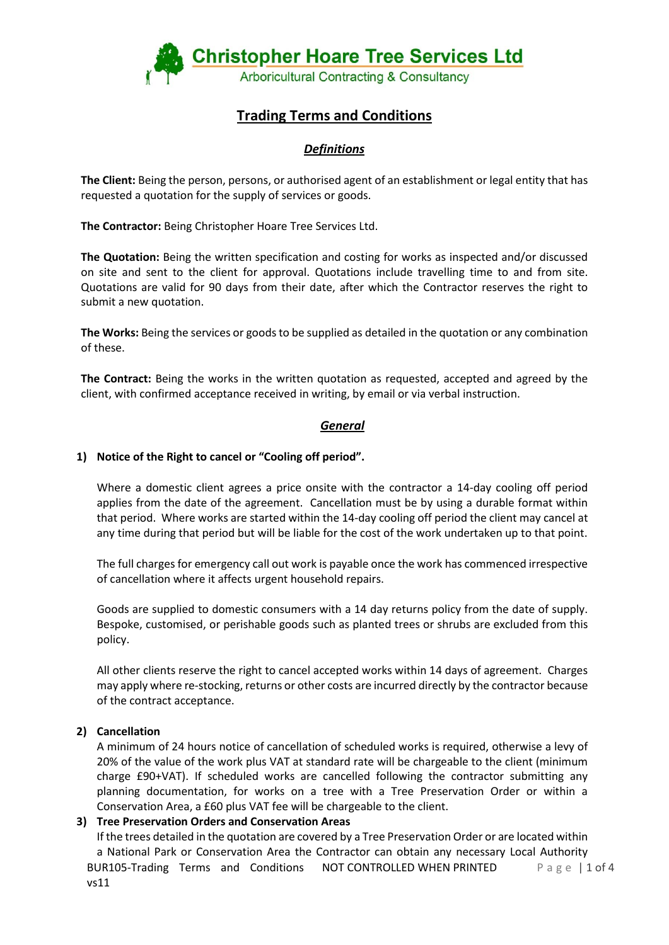

# **Trading Terms and Conditions**

# *Definitions*

**The Client:** Being the person, persons, or authorised agent of an establishment or legal entity that has requested a quotation for the supply of services or goods.

**The Contractor:** Being Christopher Hoare Tree Services Ltd.

**The Quotation:** Being the written specification and costing for works as inspected and/or discussed on site and sent to the client for approval. Quotations include travelling time to and from site. Quotations are valid for 90 days from their date, after which the Contractor reserves the right to submit a new quotation.

**The Works:** Being the services or goods to be supplied as detailed in the quotation or any combination of these.

**The Contract:** Being the works in the written quotation as requested, accepted and agreed by the client, with confirmed acceptance received in writing, by email or via verbal instruction.

# *General*

# **1) Notice of the Right to cancel or "Cooling off period".**

Where a domestic client agrees a price onsite with the contractor a 14-day cooling off period applies from the date of the agreement. Cancellation must be by using a durable format within that period. Where works are started within the 14-day cooling off period the client may cancel at any time during that period but will be liable for the cost of the work undertaken up to that point.

The full charges for emergency call out work is payable once the work has commenced irrespective of cancellation where it affects urgent household repairs.

Goods are supplied to domestic consumers with a 14 day returns policy from the date of supply. Bespoke, customised, or perishable goods such as planted trees or shrubs are excluded from this policy.

All other clients reserve the right to cancel accepted works within 14 days of agreement. Charges may apply where re-stocking, returns or other costs are incurred directly by the contractor because of the contract acceptance.

# **2) Cancellation**

A minimum of 24 hours notice of cancellation of scheduled works is required, otherwise a levy of 20% of the value of the work plus VAT at standard rate will be chargeable to the client (minimum charge £90+VAT). If scheduled works are cancelled following the contractor submitting any planning documentation, for works on a tree with a Tree Preservation Order or within a Conservation Area, a £60 plus VAT fee will be chargeable to the client.

#### **3) Tree Preservation Orders and Conservation Areas**

BUR105-Trading Terms and Conditions vs11 NOT CONTROLLED WHEN PRINTED Page | 1 of 4 If the trees detailed in the quotation are covered by a Tree Preservation Order or are located within a National Park or Conservation Area the Contractor can obtain any necessary Local Authority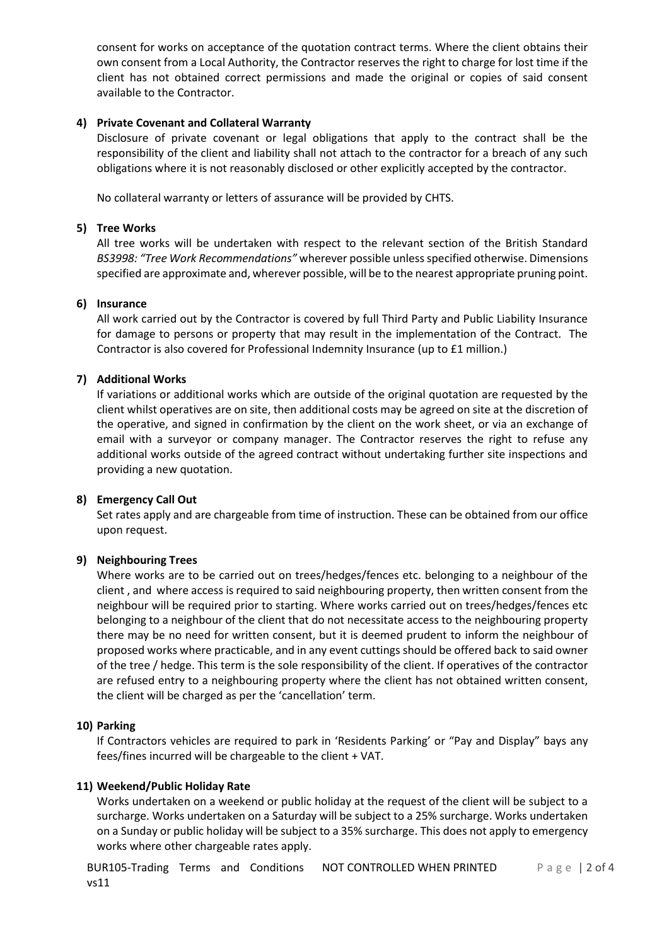consent for works on acceptance of the quotation contract terms. Where the client obtains their own consent from a Local Authority, the Contractor reserves the right to charge for lost time if the client has not obtained correct permissions and made the original or copies of said consent available to the Contractor.

#### **4) Private Covenant and Collateral Warranty**

Disclosure of private covenant or legal obligations that apply to the contract shall be the responsibility of the client and liability shall not attach to the contractor for a breach of any such obligations where it is not reasonably disclosed or other explicitly accepted by the contractor.

No collateral warranty or letters of assurance will be provided by CHTS.

#### **5) Tree Works**

All tree works will be undertaken with respect to the relevant section of the British Standard *BS3998: "Tree Work Recommendations"* wherever possible unless specified otherwise. Dimensions specified are approximate and, wherever possible, will be to the nearest appropriate pruning point.

#### **6) Insurance**

All work carried out by the Contractor is covered by full Third Party and Public Liability Insurance for damage to persons or property that may result in the implementation of the Contract. The Contractor is also covered for Professional Indemnity Insurance (up to £1 million.)

#### **7) Additional Works**

If variations or additional works which are outside of the original quotation are requested by the client whilst operatives are on site, then additional costs may be agreed on site at the discretion of the operative, and signed in confirmation by the client on the work sheet, or via an exchange of email with a surveyor or company manager. The Contractor reserves the right to refuse any additional works outside of the agreed contract without undertaking further site inspections and providing a new quotation.

#### **8) Emergency Call Out**

Set rates apply and are chargeable from time of instruction. These can be obtained from our office upon request.

#### **9) Neighbouring Trees**

Where works are to be carried out on trees/hedges/fences etc. belonging to a neighbour of the client , and where access is required to said neighbouring property, then written consent from the neighbour will be required prior to starting. Where works carried out on trees/hedges/fences etc belonging to a neighbour of the client that do not necessitate access to the neighbouring property there may be no need for written consent, but it is deemed prudent to inform the neighbour of proposed works where practicable, and in any event cuttings should be offered back to said owner of the tree / hedge. This term is the sole responsibility of the client. If operatives of the contractor are refused entry to a neighbouring property where the client has not obtained written consent, the client will be charged as per the 'cancellation' term.

#### **10) Parking**

If Contractors vehicles are required to park in 'Residents Parking' or "Pay and Display" bays any fees/fines incurred will be chargeable to the client + VAT.

#### **11) Weekend/Public Holiday Rate**

Works undertaken on a weekend or public holiday at the request of the client will be subject to a surcharge. Works undertaken on a Saturday will be subject to a 25% surcharge. Works undertaken on a Sunday or public holiday will be subject to a 35% surcharge. This does not apply to emergency works where other chargeable rates apply.

BUR105-Trading Terms and Conditions vs11 NOT CONTROLLED WHEN PRINTED Page | 2 of 4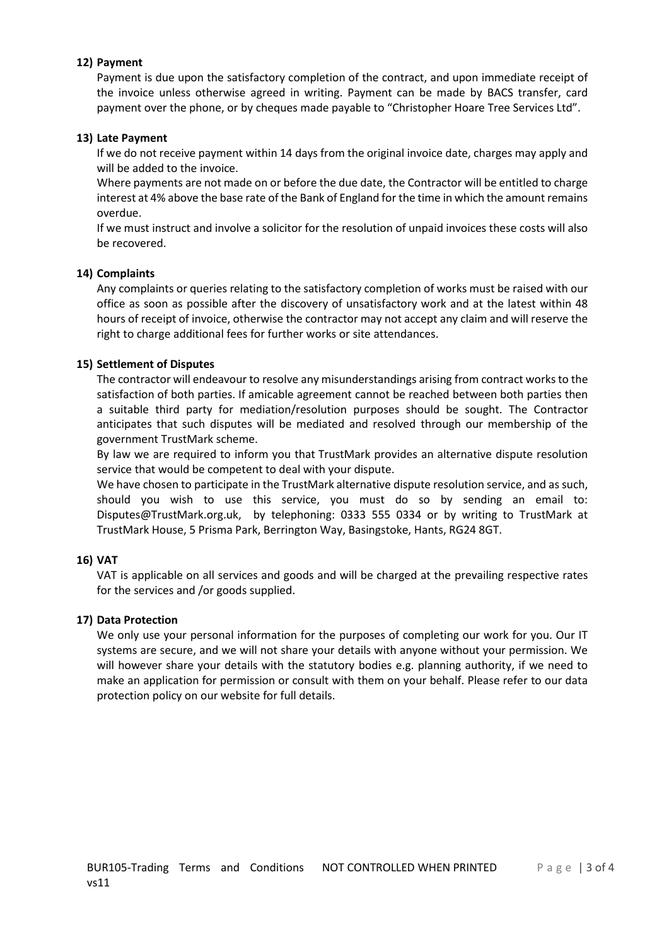### **12) Payment**

Payment is due upon the satisfactory completion of the contract, and upon immediate receipt of the invoice unless otherwise agreed in writing. Payment can be made by BACS transfer, card payment over the phone, or by cheques made payable to "Christopher Hoare Tree Services Ltd".

### **13) Late Payment**

If we do not receive payment within 14 days from the original invoice date, charges may apply and will be added to the invoice.

Where payments are not made on or before the due date, the Contractor will be entitled to charge interest at 4% above the base rate of the Bank of England for the time in which the amount remains overdue.

If we must instruct and involve a solicitor for the resolution of unpaid invoices these costs will also be recovered.

### **14) Complaints**

Any complaints or queries relating to the satisfactory completion of works must be raised with our office as soon as possible after the discovery of unsatisfactory work and at the latest within 48 hours of receipt of invoice, otherwise the contractor may not accept any claim and will reserve the right to charge additional fees for further works or site attendances.

### **15) Settlement of Disputes**

The contractor will endeavour to resolve any misunderstandings arising from contract works to the satisfaction of both parties. If amicable agreement cannot be reached between both parties then a suitable third party for mediation/resolution purposes should be sought. The Contractor anticipates that such disputes will be mediated and resolved through our membership of the government TrustMark scheme.

By law we are required to inform you that TrustMark provides an alternative dispute resolution service that would be competent to deal with your dispute.

We have chosen to participate in the TrustMark alternative dispute resolution service, and as such, should you wish to use this service, you must do so by sending an email to: Disputes@TrustMark.org.uk, by telephoning: 0333 555 0334 or by writing to TrustMark at TrustMark House, 5 Prisma Park, Berrington Way, Basingstoke, Hants, RG24 8GT.

#### **16) VAT**

VAT is applicable on all services and goods and will be charged at the prevailing respective rates for the services and /or goods supplied.

#### **17) Data Protection**

We only use your personal information for the purposes of completing our work for you. Our IT systems are secure, and we will not share your details with anyone without your permission. We will however share your details with the statutory bodies e.g. planning authority, if we need to make an application for permission or consult with them on your behalf. Please refer to our data protection policy on our website for full details.